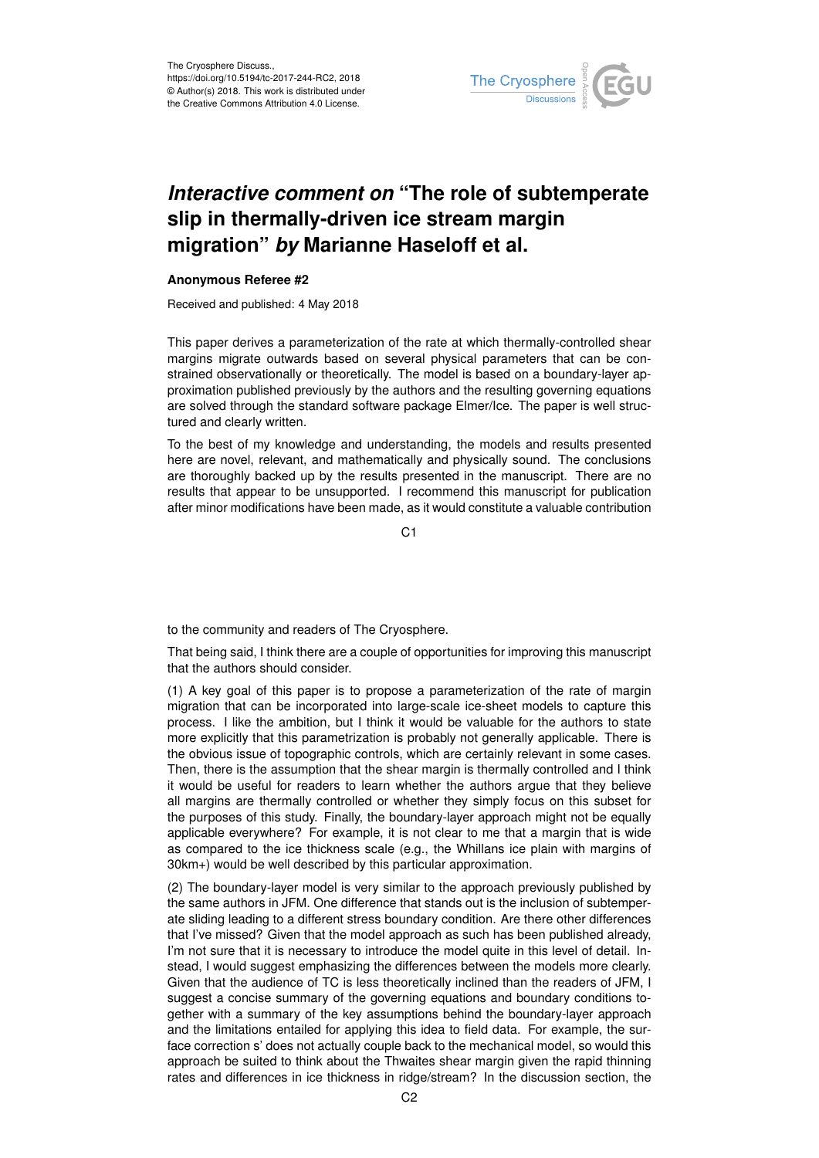

## *Interactive comment on* **"The role of subtemperate slip in thermally-driven ice stream margin migration"** *by* **Marianne Haseloff et al.**

## **Anonymous Referee #2**

Received and published: 4 May 2018

This paper derives a parameterization of the rate at which thermally-controlled shear margins migrate outwards based on several physical parameters that can be constrained observationally or theoretically. The model is based on a boundary-layer approximation published previously by the authors and the resulting governing equations are solved through the standard software package Elmer/Ice. The paper is well structured and clearly written.

To the best of my knowledge and understanding, the models and results presented here are novel, relevant, and mathematically and physically sound. The conclusions are thoroughly backed up by the results presented in the manuscript. There are no results that appear to be unsupported. I recommend this manuscript for publication after minor modifications have been made, as it would constitute a valuable contribution

C1

to the community and readers of The Cryosphere.

That being said, I think there are a couple of opportunities for improving this manuscript that the authors should consider.

(1) A key goal of this paper is to propose a parameterization of the rate of margin migration that can be incorporated into large-scale ice-sheet models to capture this process. I like the ambition, but I think it would be valuable for the authors to state more explicitly that this parametrization is probably not generally applicable. There is the obvious issue of topographic controls, which are certainly relevant in some cases. Then, there is the assumption that the shear margin is thermally controlled and I think it would be useful for readers to learn whether the authors argue that they believe all margins are thermally controlled or whether they simply focus on this subset for the purposes of this study. Finally, the boundary-layer approach might not be equally applicable everywhere? For example, it is not clear to me that a margin that is wide as compared to the ice thickness scale (e.g., the Whillans ice plain with margins of 30km+) would be well described by this particular approximation.

(2) The boundary-layer model is very similar to the approach previously published by the same authors in JFM. One difference that stands out is the inclusion of subtemperate sliding leading to a different stress boundary condition. Are there other differences that I've missed? Given that the model approach as such has been published already, I'm not sure that it is necessary to introduce the model quite in this level of detail. Instead, I would suggest emphasizing the differences between the models more clearly. Given that the audience of TC is less theoretically inclined than the readers of JFM, I suggest a concise summary of the governing equations and boundary conditions together with a summary of the key assumptions behind the boundary-layer approach and the limitations entailed for applying this idea to field data. For example, the surface correction s' does not actually couple back to the mechanical model, so would this approach be suited to think about the Thwaites shear margin given the rapid thinning rates and differences in ice thickness in ridge/stream? In the discussion section, the